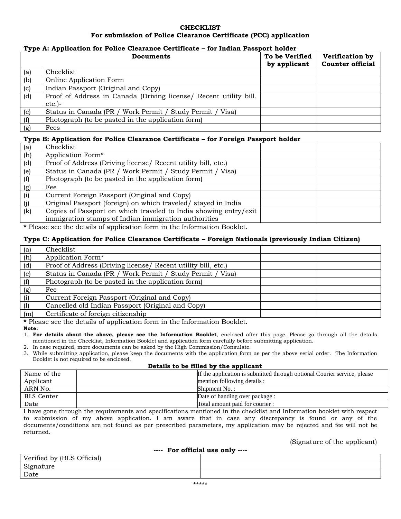## **CHECKLIST For submission of Police Clearance Certificate (PCC) application**

#### **Type A: Application for Police Clearance Certificate – for Indian Passport holder**

|     | <b>Documents</b>                                                  | To be Verified | Verification by         |
|-----|-------------------------------------------------------------------|----------------|-------------------------|
|     |                                                                   | by applicant   | <b>Counter official</b> |
| (a) | Checklist                                                         |                |                         |
| (b) | Online Application Form                                           |                |                         |
| (c) | Indian Passport (Original and Copy)                               |                |                         |
| (d) | Proof of Address in Canada (Driving license) Recent utility bill, |                |                         |
|     | $etc.$ )-                                                         |                |                         |
| (e) | Status in Canada (PR / Work Permit / Study Permit /<br>Visal      |                |                         |
| (f) | Photograph (to be pasted in the application form)                 |                |                         |
| (g) | Fees                                                              |                |                         |

## **Type B: Application for Police Clearance Certificate – for Foreign Passport holder**

| (a) | Checklist                                                        |  |
|-----|------------------------------------------------------------------|--|
| (h) | Application Form*                                                |  |
| (d) | Proof of Address (Driving license/ Recent utility bill, etc.)    |  |
| (e) | Status in Canada (PR / Work Permit / Study Permit / Visa)        |  |
| (f) | Photograph (to be pasted in the application form)                |  |
| (g) | Fee                                                              |  |
| (i) | Current Foreign Passport (Original and Copy)                     |  |
| (i) | Original Passport (foreign) on which traveled/stayed in India    |  |
| (k) | Copies of Passport on which traveled to India showing entry/exit |  |
|     | immigration stamps of Indian immigration authorities             |  |

**\*** Please see the details of application form in the Information Booklet.

#### **Type C: Application for Police Clearance Certificate – Foreign Nationals (previously Indian Citizen)**

| (a) | Checklist                                                     |  |
|-----|---------------------------------------------------------------|--|
| (h) | Application Form*                                             |  |
| (d) | Proof of Address (Driving license/ Recent utility bill, etc.) |  |
| (e) | Status in Canada (PR / Work Permit / Study Permit / Visa)     |  |
| (f) | Photograph (to be pasted in the application form)             |  |
| (g) | Fee                                                           |  |
| (i) | Current Foreign Passport (Original and Copy)                  |  |
| (1) | Cancelled old Indian Passport (Original and Copy)             |  |
| (m) | Certificate of foreign citizenship                            |  |

**\*** Please see the details of application form in the Information Booklet.

**Note:**

1. **For details about the above, please see the Information Booklet**, enclosed after this page. Please go through all the details mentioned in the Checklist, Information Booklet and application form carefully before submitting application.

- 2. In case required, more documents can be asked by the High Commission/Consulate.
- 3. While submitting application, please keep the documents with the application form as per the above serial order. The Information Booklet is not required to be enclosed.

#### **Details to be filled by the applicant**

| Name of the       | If the application is submitted through optional Courier service, please |
|-------------------|--------------------------------------------------------------------------|
| Applicant         | mention following details :                                              |
| ARN No.           | Shipment No.:                                                            |
| <b>BLS</b> Center | Date of handing over package:                                            |
| Date              | Total amount paid for courier :                                          |

I have gone through the requirements and specifications mentioned in the checklist and Information booklet with respect to submission of my above application. I am aware that in case any discrepancy is found or any of the documents/conditions are not found as per prescribed parameters, my application may be rejected and fee will not be returned.

## (Signature of the applicant)

| ---- For official use only ---- |  |  |  |  |
|---------------------------------|--|--|--|--|
| Verified by (BLS Official)      |  |  |  |  |
| Signature                       |  |  |  |  |
| Date                            |  |  |  |  |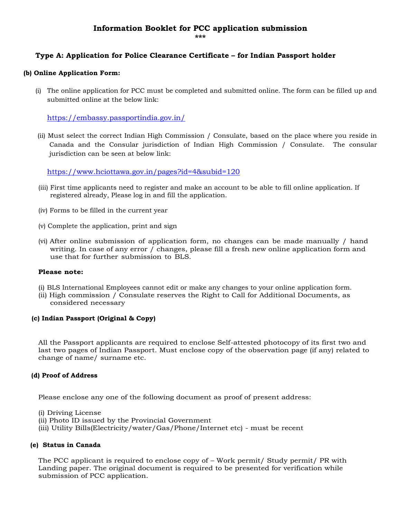# **Information Booklet for PCC application submission**

#### **\*\*\***

# **Type A: Application for Police Clearance Certificate – for Indian Passport holder**

#### **(b) Online Application Form:**

(i) The online application for PCC must be completed and submitted online. The form can be filled up and submitted online at the below link:

<https://embassy.passportindia.gov.in/>

(ii) Must select the correct Indian High Commission / Consulate, based on the place where you reside in Canada and the Consular jurisdiction of Indian High Commission / Consulate. The consular jurisdiction can be seen at below link:

<https://www.hciottawa.gov.in/pages?id=4&subid=120>

- (iii) First time applicants need to register and make an account to be able to fill online application. If registered already, Please log in and fill the application.
- (iv) Forms to be filled in the current year
- (v) Complete the application, print and sign
- (vi) After online submission of application form, no changes can be made manually / hand writing. In case of any error / changes, please fill a fresh new online application form and use that for further submission to BLS.

#### **Please note:**

- (i) BLS International Employees cannot edit or make any changes to your online application form.
- (ii) High commission / Consulate reserves the Right to Call for Additional Documents, as considered necessary

#### **(c) Indian Passport (Original & Copy)**

All the Passport applicants are required to enclose Self-attested photocopy of its first two and last two pages of Indian Passport. Must enclose copy of the observation page (if any) related to change of name/ surname etc.

## **(d) Proof of Address**

Please enclose any one of the following document as proof of present address:

(i) Driving License

- (ii) Photo ID issued by the Provincial Government
- (iii) Utility Bills(Electricity/water/Gas/Phone/Internet etc) must be recent

#### **(e) Status in Canada**

The PCC applicant is required to enclose copy of – Work permit/ Study permit/ PR with Landing paper. The original document is required to be presented for verification while submission of PCC application.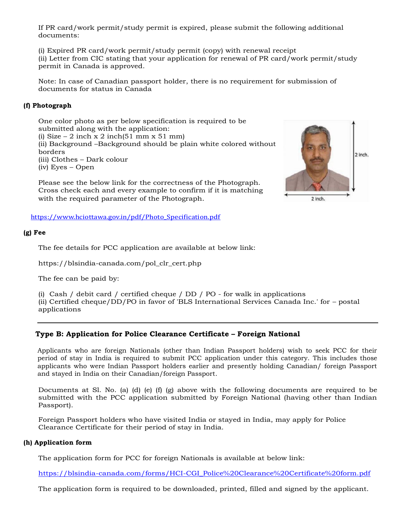If PR card/work permit/study permit is expired, please submit the following additional documents:

(i) Expired PR card/work permit/study permit (copy) with renewal receipt (ii) Letter from CIC stating that your application for renewal of PR card/work permit/study permit in Canada is approved.

Note: In case of Canadian passport holder, there is no requirement for submission of documents for status in Canada

## **(f) Photograph**

One color photo as per below specification is required to be submitted along with the application: (i) Size – 2 inch x 2 inch(51 mm x 51 mm) (ii) Background –Background should be plain white colored without borders (iii) Clothes – Dark colour (iv) Eyes – Open

Please see the below link for the correctness of the Photograph. Cross check each and every example to confirm if it is matching with the required parameter of the Photograph.

[https://www.hciottawa.gov.in/pdf/Photo\\_Specification.pdf](https://www.hciottawa.gov.in/pdf/Photo_Specification.pdf)

#### **(g) Fee**

The fee details for PCC application are available at below link:

[https://blsindia-canada.com/pol\\_clr\\_cert.php](https://blsindia-canada.com/pol_clr_cert.php)

The fee can be paid by:

(i) Cash / debit card / certified cheque /  $DD$  /  $PO$  - for walk in applications (ii) Certified cheque/DD/PO in favor of 'BLS International Services Canada Inc.' for – postal applications

## **Type B: Application for Police Clearance Certificate – Foreign National**

Applicants who are foreign Nationals (other than Indian Passport holders) wish to seek PCC for their period of stay in India is required to submit PCC application under this category. This includes those applicants who were Indian Passport holders earlier and presently holding Canadian/ foreign Passport and stayed in India on their Canadian/foreign Passport.

Documents at Sl. No. (a) (d) (e) (f) (g) above with the following documents are required to be submitted with the PCC application submitted by Foreign National (having other than Indian Passport).

Foreign Passport holders who have visited India or stayed in India, may apply for Police Clearance Certificate for their period of stay in India.

#### **(h) Application form**

The application form for PCC for foreign Nationals is available at below link:

[https://blsindia-canada.com/forms/HCI-CGI\\_Police%20Clearance%20Certificate%20form.pdf](https://blsindia-canada.com/forms/HCI-CGI_Police%20Clearance%20Certificate%20form.pdf)

The application form is required to be downloaded, printed, filled and signed by the applicant.